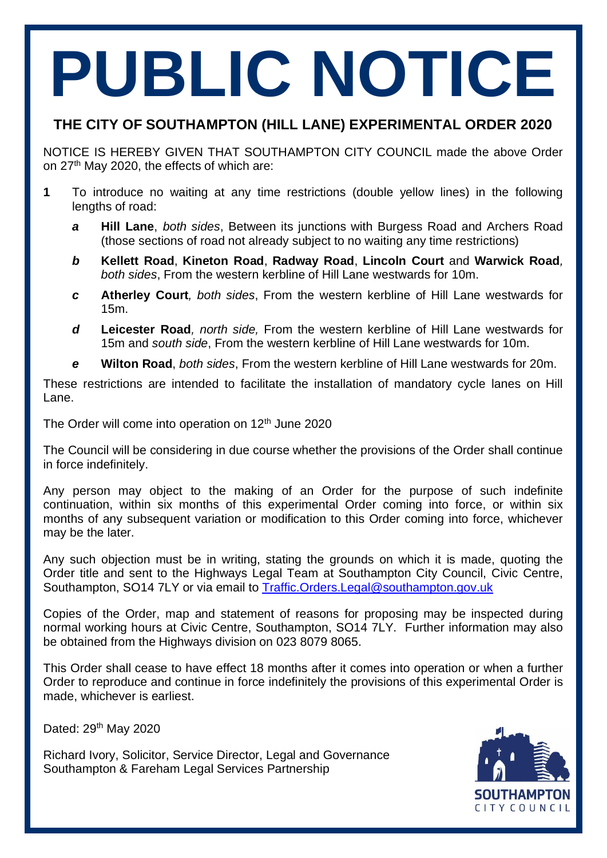# **PUBLIC NOTICE**

# **THE CITY OF SOUTHAMPTON (HILL LANE) EXPERIMENTAL ORDER 2020**

NOTICE IS HEREBY GIVEN THAT SOUTHAMPTON CITY COUNCIL made the above Order on 27<sup>th</sup> May 2020, the effects of which are:

- **1** To introduce no waiting at any time restrictions (double yellow lines) in the following lengths of road:
	- *a* **Hill Lane**, *both sides*, Between its junctions with Burgess Road and Archers Road (those sections of road not already subject to no waiting any time restrictions)
	- *b* **Kellett Road**, **Kineton Road**, **Radway Road**, **Lincoln Court** and **Warwick Road***, both sides*, From the western kerbline of Hill Lane westwards for 10m.
	- *c* **Atherley Court***, both sides*, From the western kerbline of Hill Lane westwards for 15m.
	- *d* **Leicester Road***, north side,* From the western kerbline of Hill Lane westwards for 15m and *south side*, From the western kerbline of Hill Lane westwards for 10m.
	- *e* **Wilton Road**, *both sides*, From the western kerbline of Hill Lane westwards for 20m.

These restrictions are intended to facilitate the installation of mandatory cycle lanes on Hill Lane.

The Order will come into operation on 12<sup>th</sup> June 2020

The Council will be considering in due course whether the provisions of the Order shall continue in force indefinitely.

Any person may object to the making of an Order for the purpose of such indefinite continuation, within six months of this experimental Order coming into force, or within six months of any subsequent variation or modification to this Order coming into force, whichever may be the later.

Any such objection must be in writing, stating the grounds on which it is made, quoting the Order title and sent to the Highways Legal Team at Southampton City Council, Civic Centre, Southampton, SO14 7LY or via email to [Traffic.Orders.Legal@southampton.gov.uk](mailto:Traffic.Orders.Legal@southampton.gov.uk)

Copies of the Order, map and statement of reasons for proposing may be inspected during normal working hours at Civic Centre, Southampton, SO14 7LY. Further information may also be obtained from the Highways division on 023 8079 8065.

This Order shall cease to have effect 18 months after it comes into operation or when a further Order to reproduce and continue in force indefinitely the provisions of this experimental Order is made, whichever is earliest.

Dated: 29<sup>th</sup> May 2020

Richard Ivory, Solicitor, Service Director, Legal and Governance Southampton & Fareham Legal Services Partnership

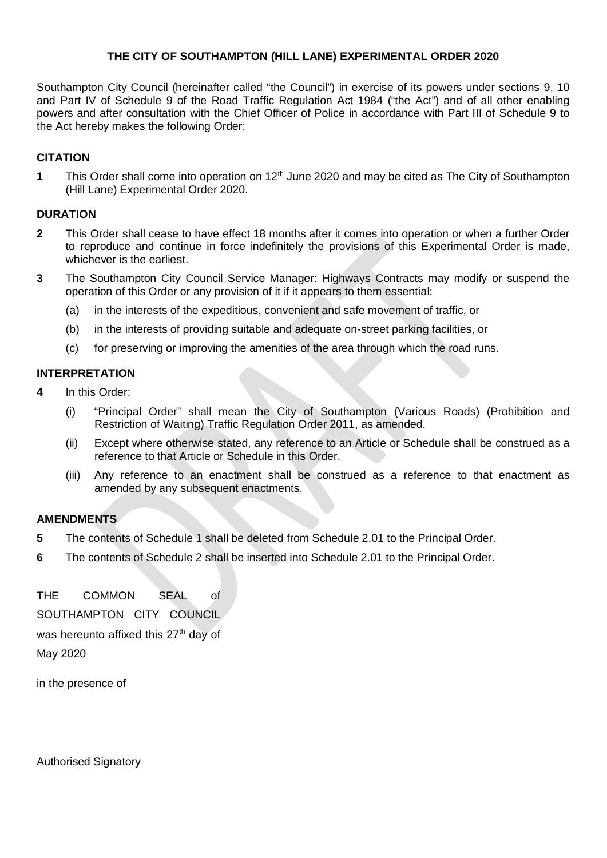#### **THE CITY OF SOUTHAMPTON (HILL LANE) EXPERIMENTAL ORDER 2020**

Southampton City Council (hereinafter called "the Council") in exercise of its powers under sections 9, 10 and Part IV of Schedule 9 of the Road Traffic Regulation Act 1984 ("the Act") and of all other enabling powers and after consultation with the Chief Officer of Police in accordance with Part III of Schedule 9 to the Act hereby makes the following Order:

#### **CITATION**

**1** This Order shall come into operation on 12<sup>th</sup> June 2020 and may be cited as The City of Southampton (Hill Lane) Experimental Order 2020.

#### **DURATION**

- **2** This Order shall cease to have effect 18 months after it comes into operation or when a further Order to reproduce and continue in force indefinitely the provisions of this Experimental Order is made, whichever is the earliest.
- **3** The Southampton City Council Service Manager: Highways Contracts may modify or suspend the operation of this Order or any provision of it if it appears to them essential:
	- (a) in the interests of the expeditious, convenient and safe movement of traffic, or
	- (b) in the interests of providing suitable and adequate on-street parking facilities, or
	- (c) for preserving or improving the amenities of the area through which the road runs.

#### **INTERPRETATION**

- **4** In this Order:
	- (i) "Principal Order" shall mean the City of Southampton (Various Roads) (Prohibition and Restriction of Waiting) Traffic Regulation Order 2011, as amended.
	- (ii) Except where otherwise stated, any reference to an Article or Schedule shall be construed as a reference to that Article or Schedule in this Order.
	- (iii) Any reference to an enactment shall be construed as a reference to that enactment as amended by any subsequent enactments.

#### **AMENDMENTS**

- **5** The contents of Schedule 1 shall be deleted from Schedule 2.01 to the Principal Order.
- **6** The contents of Schedule 2 shall be inserted into Schedule 2.01 to the Principal Order.

THE COMMON SEAL of SOUTHAMPTON CITY COUNCIL was hereunto affixed this  $27<sup>th</sup>$  day of May 2020

in the presence of

Authorised Signatory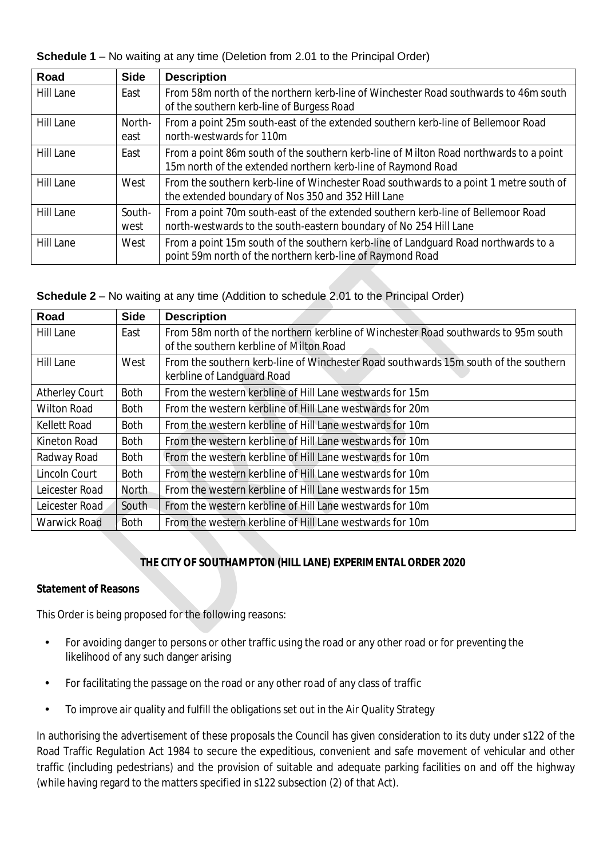**Schedule 1** – No waiting at any time (Deletion from 2.01 to the Principal Order)

| Road             | <b>Side</b>    | <b>Description</b>                                                                                                                                    |
|------------------|----------------|-------------------------------------------------------------------------------------------------------------------------------------------------------|
| <b>Hill Lane</b> | East           | From 58m north of the northern kerb-line of Winchester Road southwards to 46m south<br>of the southern kerb-line of Burgess Road                      |
| Hill Lane        | North-<br>east | From a point 25m south-east of the extended southern kerb-line of Bellemoor Road<br>north-westwards for 110m                                          |
| <b>Hill Lane</b> | East           | From a point 86m south of the southern kerb-line of Milton Road northwards to a point<br>15m north of the extended northern kerb-line of Raymond Road |
| <b>Hill Lane</b> | West           | From the southern kerb-line of Winchester Road southwards to a point 1 metre south of<br>the extended boundary of Nos 350 and 352 Hill Lane           |
| <b>Hill Lane</b> | South-<br>west | From a point 70m south-east of the extended southern kerb-line of Bellemoor Road<br>north-westwards to the south-eastern boundary of No 254 Hill Lane |
| <b>Hill Lane</b> | West           | From a point 15m south of the southern kerb-line of Landguard Road northwards to a<br>point 59m north of the northern kerb-line of Raymond Road       |

# **Schedule 2** – No waiting at any time (Addition to schedule 2.01 to the Principal Order)

| Road                  | <b>Side</b> | <b>Description</b>                                                                                                            |
|-----------------------|-------------|-------------------------------------------------------------------------------------------------------------------------------|
| <b>Hill Lane</b>      | East        | From 58m north of the northern kerbline of Winchester Road southwards to 95m south<br>of the southern kerbline of Milton Road |
| <b>Hill Lane</b>      | West        | From the southern kerb-line of Winchester Road southwards 15m south of the southern<br>kerbline of Landguard Road             |
| <b>Atherley Court</b> | Both        | From the western kerbline of Hill Lane westwards for 15m                                                                      |
| <b>Wilton Road</b>    | <b>Both</b> | From the western kerbline of Hill Lane westwards for 20m                                                                      |
| <b>Kellett Road</b>   | <b>Both</b> | From the western kerbline of Hill Lane westwards for 10m                                                                      |
| Kineton Road          | <b>Both</b> | From the western kerbline of Hill Lane westwards for 10m                                                                      |
| Radway Road           | Both        | From the western kerbline of Hill Lane westwards for 10m                                                                      |
| Lincoln Court         | <b>Both</b> | From the western kerbline of Hill Lane westwards for 10m                                                                      |
| Leicester Road        | North       | From the western kerbline of Hill Lane westwards for 15m                                                                      |
| Leicester Road        | South       | From the western kerbline of Hill Lane westwards for 10m                                                                      |
| <b>Warwick Road</b>   | <b>Both</b> | From the western kerbline of Hill Lane westwards for 10m                                                                      |

# **THE CITY OF SOUTHAMPTON (HILL LANE) EXPERIMENTAL ORDER 2020**

### **Statement of Reasons**

This Order is being proposed for the following reasons:

- For avoiding danger to persons or other traffic using the road or any other road or for preventing the ÷, likelihood of any such danger arising
- For facilitating the passage on the road or any other road of any class of traffic J,
- To improve air quality and fulfill the obligations set out in the Air Quality Strategy J.

In authorising the advertisement of these proposals the Council has given consideration to its duty under s122 of the Road Traffic Regulation Act 1984 to secure the expeditious, convenient and safe movement of vehicular and other traffic (including pedestrians) and the provision of suitable and adequate parking facilities on and off the highway (while having regard to the matters specified in s122 subsection (2) of that Act).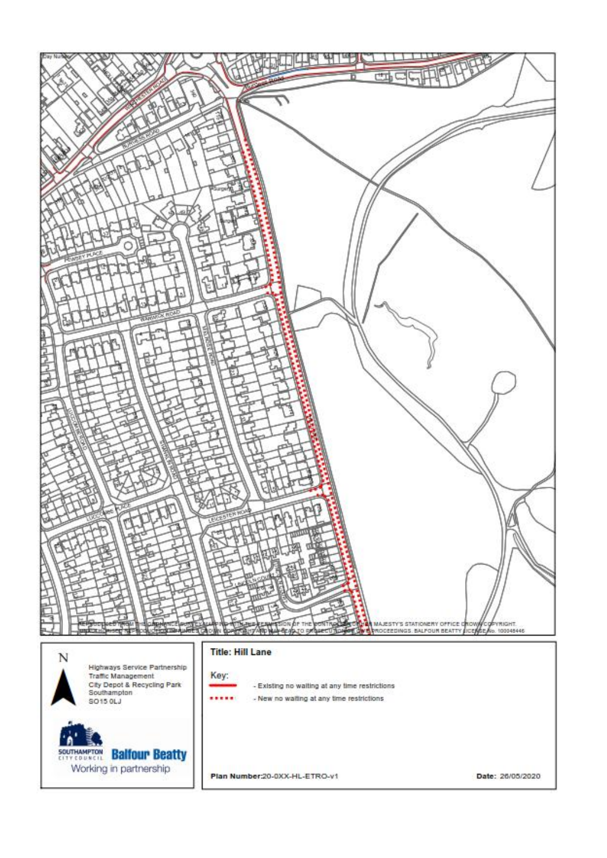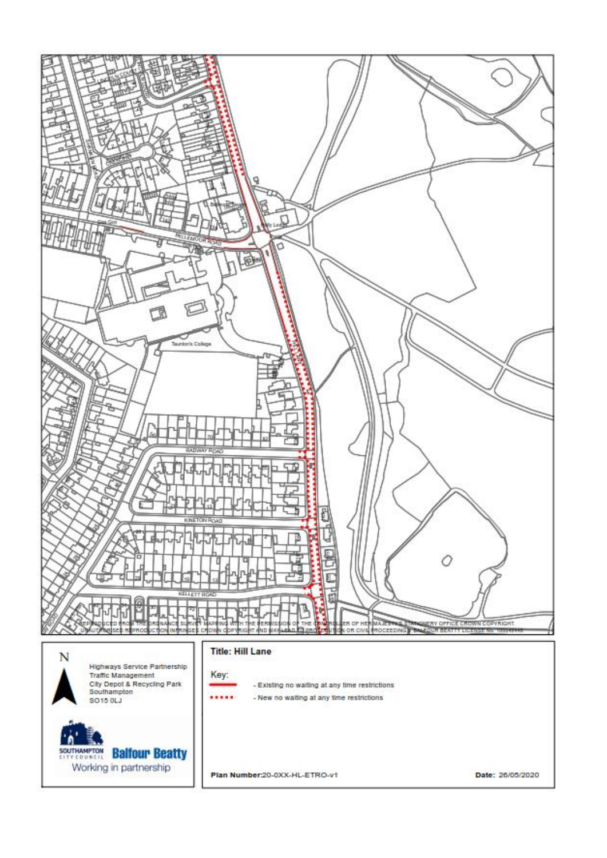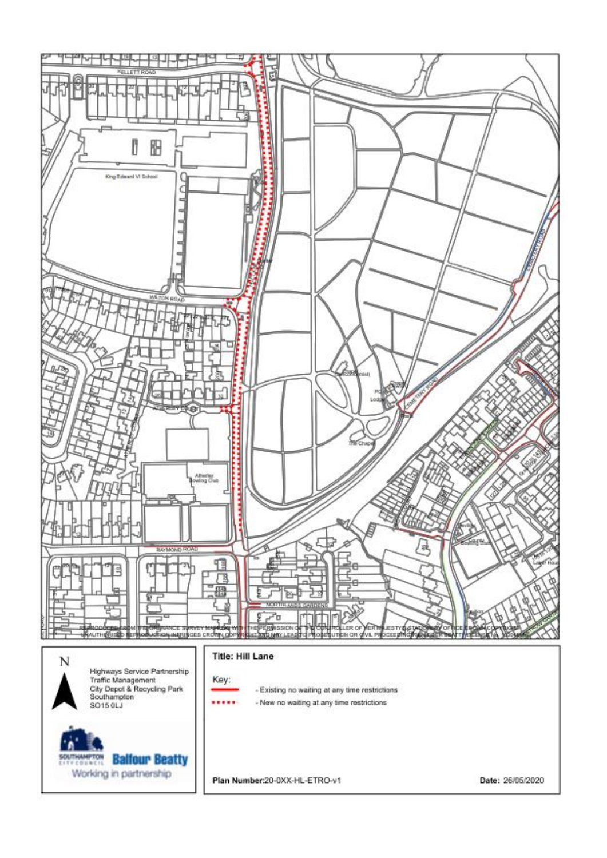